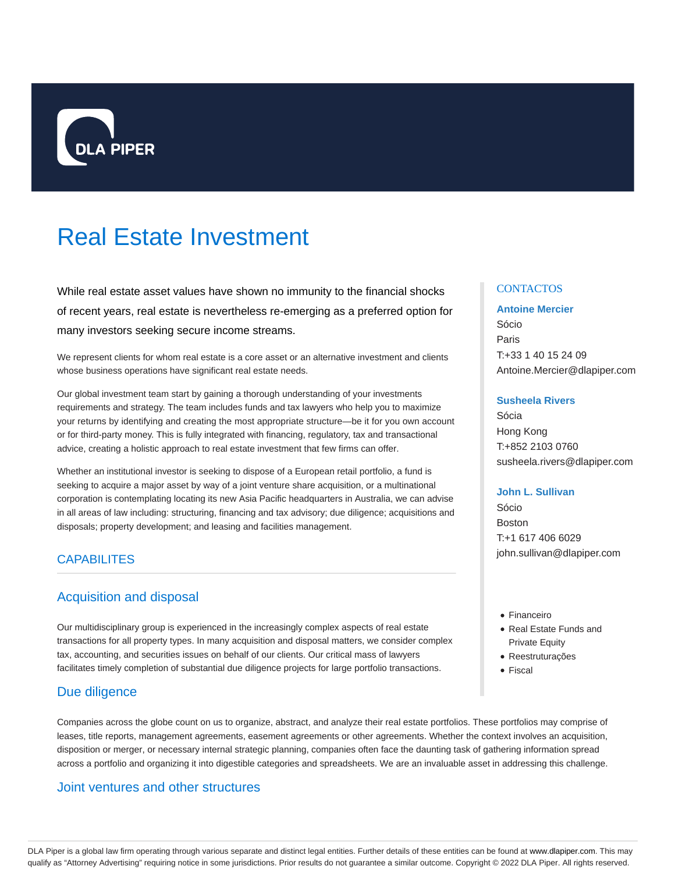

# Real Estate Investment

While real estate asset values have shown no immunity to the financial shocks of recent years, real estate is nevertheless re-emerging as a preferred option for many investors seeking secure income streams.

We represent clients for whom real estate is a core asset or an alternative investment and clients whose business operations have significant real estate needs.

Our global investment team start by gaining a thorough understanding of your investments requirements and strategy. The team includes funds and tax lawyers who help you to maximize your returns by identifying and creating the most appropriate structure—be it for you own account or for third-party money. This is fully integrated with financing, regulatory, tax and transactional advice, creating a holistic approach to real estate investment that few firms can offer.

Whether an institutional investor is seeking to dispose of a European retail portfolio, a fund is seeking to acquire a major asset by way of a joint venture share acquisition, or a multinational corporation is contemplating locating its new Asia Pacific headquarters in Australia, we can advise in all areas of law including: structuring, financing and tax advisory; due diligence; acquisitions and disposals; property development; and leasing and facilities management.

## **CAPABILITES**

## Acquisition and disposal

Our multidisciplinary group is experienced in the increasingly complex aspects of real estate transactions for all property types. In many acquisition and disposal matters, we consider complex tax, accounting, and securities issues on behalf of our clients. Our critical mass of lawyers facilitates timely completion of substantial due diligence projects for large portfolio transactions.

## Due diligence

Companies across the globe count on us to organize, abstract, and analyze their real estate portfolios. These portfolios may comprise of leases, title reports, management agreements, easement agreements or other agreements. Whether the context involves an acquisition, disposition or merger, or necessary internal strategic planning, companies often face the daunting task of gathering information spread across a portfolio and organizing it into digestible categories and spreadsheets. We are an invaluable asset in addressing this challenge.

## Joint ventures and other structures

#### **CONTACTOS**

#### **Antoine Mercier**

Sócio Paris T:+33 1 40 15 24 09 Antoine.Mercier@dlapiper.com

#### **Susheela Rivers**

Sócia Hong Kong T:+852 2103 0760 susheela.rivers@dlapiper.com

#### **John L. Sullivan**

Sócio Boston T:+1 617 406 6029 john.sullivan@dlapiper.com

- Financeiro
- Real Estate Funds and Private Equity
- Reestruturações
- Fiscal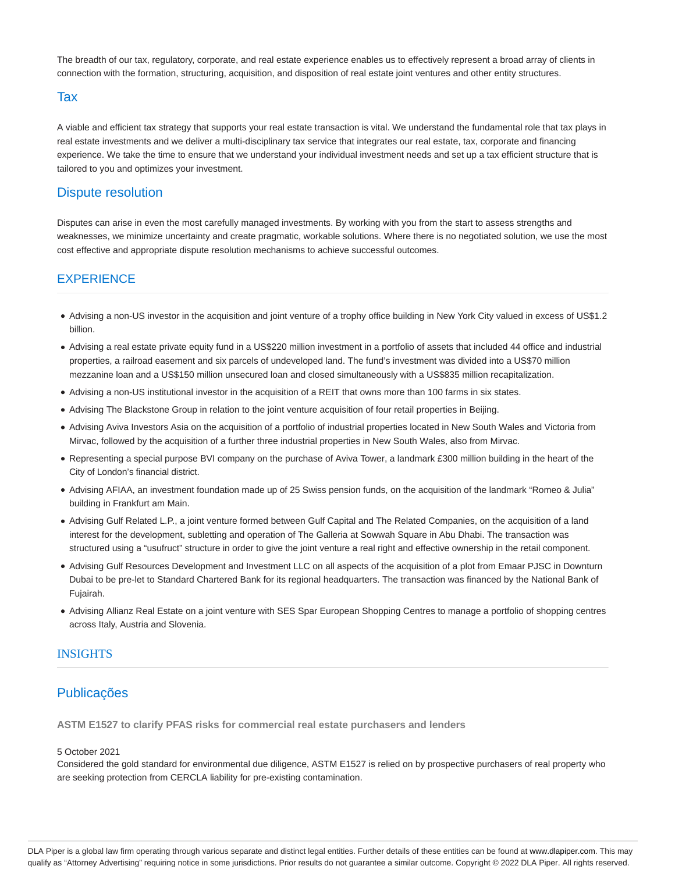The breadth of our tax, regulatory, corporate, and real estate experience enables us to effectively represent a broad array of clients in connection with the formation, structuring, acquisition, and disposition of real estate joint ventures and other entity structures.

#### **Tax**

A viable and efficient tax strategy that supports your real estate transaction is vital. We understand the fundamental role that tax plays in real estate investments and we deliver a multi-disciplinary tax service that integrates our real estate, tax, corporate and financing experience. We take the time to ensure that we understand your individual investment needs and set up a tax efficient structure that is tailored to you and optimizes your investment.

## Dispute resolution

Disputes can arise in even the most carefully managed investments. By working with you from the start to assess strengths and weaknesses, we minimize uncertainty and create pragmatic, workable solutions. Where there is no negotiated solution, we use the most cost effective and appropriate dispute resolution mechanisms to achieve successful outcomes.

## EXPERIENCE

- Advising a non-US investor in the acquisition and joint venture of a trophy office building in New York City valued in excess of US\$1.2 billion.
- Advising a real estate private equity fund in a US\$220 million investment in a portfolio of assets that included 44 office and industrial properties, a railroad easement and six parcels of undeveloped land. The fund's investment was divided into a US\$70 million mezzanine loan and a US\$150 million unsecured loan and closed simultaneously with a US\$835 million recapitalization.
- Advising a non-US institutional investor in the acquisition of a REIT that owns more than 100 farms in six states.
- Advising The Blackstone Group in relation to the joint venture acquisition of four retail properties in Beijing.
- Advising Aviva Investors Asia on the acquisition of a portfolio of industrial properties located in New South Wales and Victoria from Mirvac, followed by the acquisition of a further three industrial properties in New South Wales, also from Mirvac.
- Representing a special purpose BVI company on the purchase of Aviva Tower, a landmark £300 million building in the heart of the City of London's financial district.
- Advising AFIAA, an investment foundation made up of 25 Swiss pension funds, on the acquisition of the landmark "Romeo & Julia" building in Frankfurt am Main.
- Advising Gulf Related L.P., a joint venture formed between Gulf Capital and The Related Companies, on the acquisition of a land interest for the development, subletting and operation of The Galleria at Sowwah Square in Abu Dhabi. The transaction was structured using a "usufruct" structure in order to give the joint venture a real right and effective ownership in the retail component.
- Advising Gulf Resources Development and Investment LLC on all aspects of the acquisition of a plot from Emaar PJSC in Downturn Dubai to be pre-let to Standard Chartered Bank for its regional headquarters. The transaction was financed by the National Bank of Fujairah.
- Advising Allianz Real Estate on a joint venture with SES Spar European Shopping Centres to manage a portfolio of shopping centres across Italy, Austria and Slovenia.

#### INSIGHTS

## Publicações

**ASTM E1527 to clarify PFAS risks for commercial real estate purchasers and lenders**

#### 5 October 2021

Considered the gold standard for environmental due diligence, ASTM E1527 is relied on by prospective purchasers of real property who are seeking protection from CERCLA liability for pre-existing contamination.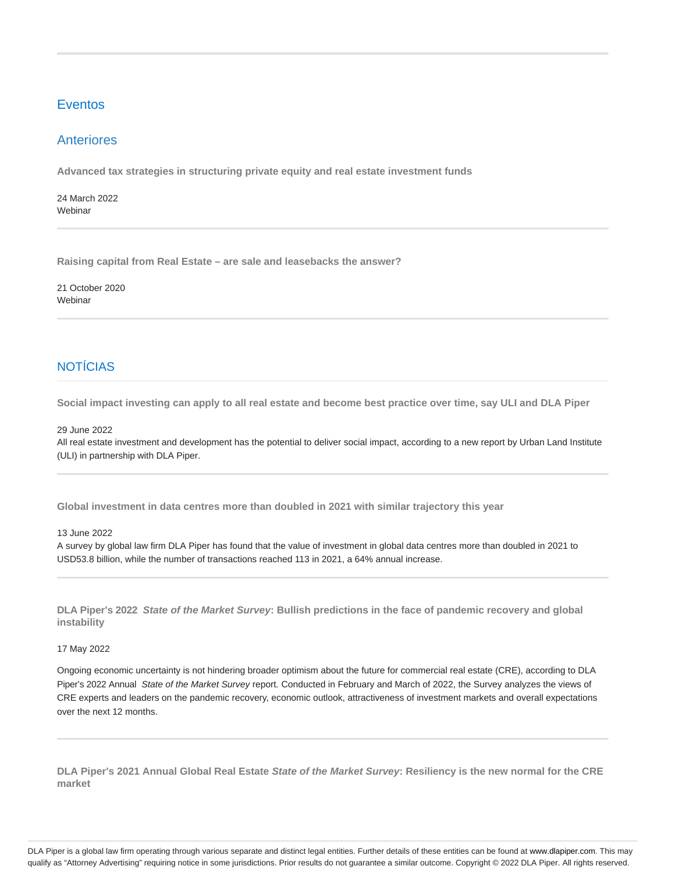## Eventos

## Anteriores

**Advanced tax strategies in structuring private equity and real estate investment funds**

24 March 2022 Webinar

**Raising capital from Real Estate – are sale and leasebacks the answer?**

21 October 2020 **Webinar** 

## NOTÍCIAS

**Social impact investing can apply to all real estate and become best practice over time, say ULI and DLA Piper**

29 June 2022

All real estate investment and development has the potential to deliver social impact, according to a new report by Urban Land Institute (ULI) in partnership with DLA Piper.

**Global investment in data centres more than doubled in 2021 with similar trajectory this year**

#### 13 June 2022

A survey by global law firm DLA Piper has found that the value of investment in global data centres more than doubled in 2021 to USD53.8 billion, while the number of transactions reached 113 in 2021, a 64% annual increase.

**DLA Piper's 2022 State of the Market Survey: Bullish predictions in the face of pandemic recovery and global instability**

#### 17 May 2022

Ongoing economic uncertainty is not hindering broader optimism about the future for commercial real estate (CRE), according to DLA Piper's 2022 Annual State of the Market Survey report. Conducted in February and March of 2022, the Survey analyzes the views of CRE experts and leaders on the pandemic recovery, economic outlook, attractiveness of investment markets and overall expectations over the next 12 months.

**DLA Piper's 2021 Annual Global Real Estate State of the Market Survey: Resiliency is the new normal for the CRE market**

DLA Piper is a global law firm operating through various separate and distinct legal entities. Further details of these entities can be found at www.dlapiper.com. This may qualify as "Attorney Advertising" requiring notice in some jurisdictions. Prior results do not guarantee a similar outcome. Copyright @ 2022 DLA Piper. All rights reserved.